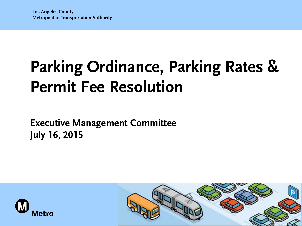# **Parking Ordinance, Parking Rates & Permit Fee Resolution**

**Executive Management Committee July 16, 2015**



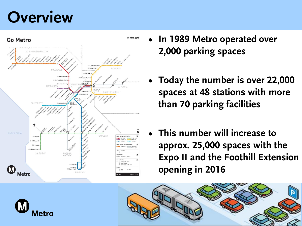#### **Overview**



- **• In 1989 Metro operated over 2,000 parking spaces**
- **• Today the number is over 22,000 spaces at 48 stations with more than 70 parking facilities**
- **• This number will increase to approx. 25,000 spaces with the Expo II and the Foothill Extension opening in 2016**



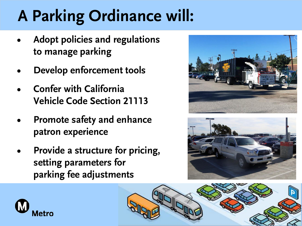# **A Parking Ordinance will:**

- **• Adopt policies and regulations to manage parking**
- **• Develop enforcement tools**
- **• Confer with California Vehicle Code Section 21113**
- **• Promote safety and enhance patron experience**
- **• Provide a structure for pricing, setting parameters for parking fee adjustments**







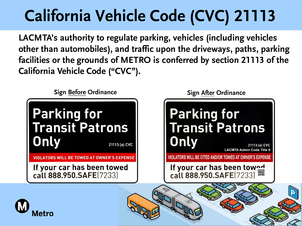# **California Vehicle Code (CVC) 21113**

**LACMTA's authority to regulate parking, vehicles (including vehicles other than automobiles), and traffic upon the driveways, paths, parking facilities or the grounds of METRO is conferred by section 21113 of the California Vehicle Code ("CVC").** 

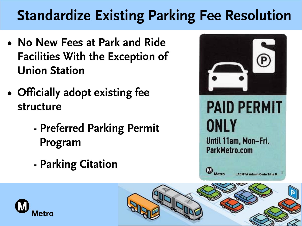#### **Standardize Existing Parking Fee Resolution**

- **• No New Fees at Park and Ride Facilities With the Exception of Union Station**
- **• Officially adopt existing fee structure** 
	- **- Preferred Parking Permit Program**
	- **- Parking Citation**



# **PAID PERMIT** ONLY

Until 11am, Mon-Fri. ParkMetro.com



**LACMTA Admin Code Title** 



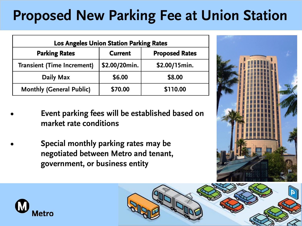### **Proposed New Parking Fee at Union Station**

| <b>Los Angeles Union Station Parking Rates</b> |                |                       |
|------------------------------------------------|----------------|-----------------------|
| <b>Parking Rates</b>                           | <b>Current</b> | <b>Proposed Rates</b> |
| <b>Transient (Time Increment)</b>              | \$2.00/20min.  | \$2.00/15min.         |
| Daily Max                                      | \$6.00         | \$8.00                |
| <b>Monthly (General Public)</b>                | \$70.00        | \$110.00              |

- **Event parking fees will be established based on market rate conditions**
- **Special monthly parking rates may be negotiated between Metro and tenant, government, or business entity**